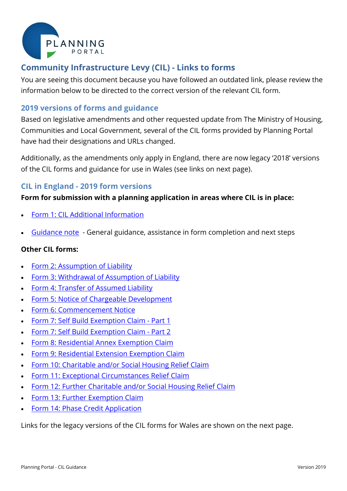

# **Community Infrastructure Levy (CIL) - Links to forms**

You are seeing this document because you have followed an outdated link, please review the information below to be directed to the correct version of the relevant CIL form.

## **2019 versions of forms and guidance**

Based on legislative amendments and other requested update from The Ministry of Housing, Communities and Local Government, several of the CIL forms provided by Planning Portal have had their designations and URLs changed.

Additionally, as the amendments only apply in England, there are now legacy '2018' versions of the CIL forms and guidance for use in Wales (see links on next page).

### **CIL in England - 2019 form versions**

#### **Form for submission with a planning application in areas where CIL is in place:**

- [Form 1: CIL Additional Information](https://ecab.planningportal.co.uk/uploads/1app/forms/form_1_cil_additional_information.pdf)
- [Guidance note](https://ecab.planningportal.co.uk/uploads/1app/cil_guidance.pdf) General guidance, assistance in form completion and next steps

#### **Other CIL forms:**

- [Form 2: Assumption of Liability](https://ecab.planningportal.co.uk/uploads/1app/forms/form_2_assumption_of_liability.pdf)
- [Form 3: Withdrawal of Assumption of Liability](https://ecab.planningportal.co.uk/uploads/1app/forms/form_3_withdrawal_of_assumption_of_liability.pdf)
- [Form 4: Transfer of Assumed Liability](https://ecab.planningportal.co.uk/uploads/1app/forms/form_4_transfer_of_assumed_liability.pdf)
- [Form 5: Notice of Chargeable Development](https://ecab.planningportal.co.uk/uploads/1app/forms/form_5_notice_of_chargeable_development.pdf)
- [Form 6: Commencement Notice](https://ecab.planningportal.co.uk/uploads/1app/forms/form_6_commencement_notice.pdf)
- [Form 7: Self Build Exemption Claim -](https://ecab.planningportal.co.uk/uploads/1app/forms/form_7_self_build_part_1_exemption_claim.pdf) Part 1
- [Form 7: Self Build Exemption Claim -](https://ecab.planningportal.co.uk/uploads/1app/forms/form_7_self_build_part_2_exemption_claim.pdf) Part 2
- [Form 8: Residential Annex Exemption Claim](https://ecab.planningportal.co.uk/uploads/1app/forms/form_8_residential_annex_claim.pdf)
- [Form 9: Residential Extension Exemption Claim](https://ecab.planningportal.co.uk/uploads/1app/forms/form_9_extension_exemption_claim.pdf)
- [Form 10: Charitable and/or Social Housing Relief Claim](https://ecab.planningportal.co.uk/uploads/1app/forms/form_10_charitable_social_housing_relief_claim.pdf)
- Form 11: [Exceptional Circumstances Relief Claim](https://ecab.planningportal.co.uk/uploads/1app/forms/form_11_exceptional_circumstances_relief_claim.pdf)
- Form 12: [Further Charitable and/or Social Housing Relief](https://ecab.planningportal.co.uk/uploads/1app/forms/form_12_further_charitable_social_housing_relief_claim.pdf) Claim
- Form 13: [Further Exemption](https://ecab.planningportal.co.uk/uploads/1app/forms/form_13_further_exemption_claim.pdf) Claim
- Form 14: [Phase Credit Application](https://ecab.planningportal.co.uk/uploads/1app/forms/form_14_phase_credit_application.pdf)

Links for the legacy versions of the CIL forms for Wales are shown on the next page.